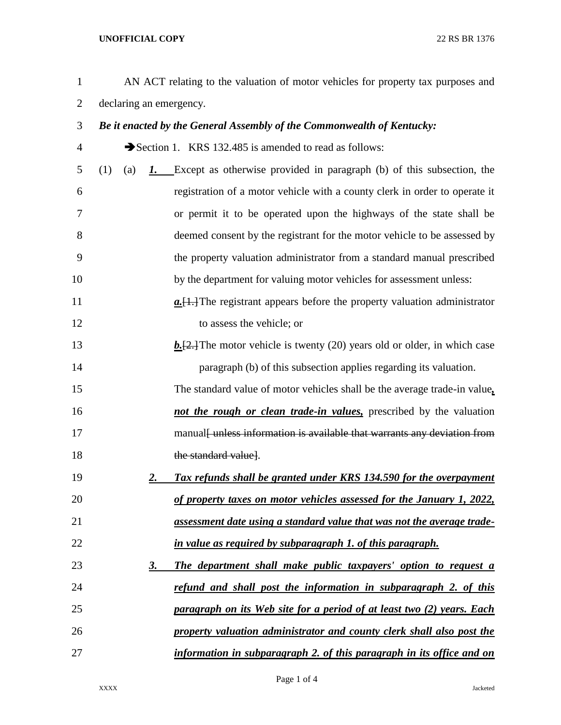## **UNOFFICIAL COPY** 22 RS BR 1376

| AN ACT relating to the valuation of motor vehicles for property tax purposes and |
|----------------------------------------------------------------------------------|
| declaring an emergency.                                                          |

## *Be it enacted by the General Assembly of the Commonwealth of Kentucky:*

4 Section 1. KRS 132.485 is amended to read as follows:

- (1) (a) *1.* Except as otherwise provided in paragraph (b) of this subsection, the registration of a motor vehicle with a county clerk in order to operate it or permit it to be operated upon the highways of the state shall be deemed consent by the registrant for the motor vehicle to be assessed by the property valuation administrator from a standard manual prescribed by the department for valuing motor vehicles for assessment unless:
- **a.**[1.] The registrant appears before the property valuation administrator 12 to assess the vehicle; or
- **b.**[2.] The motor vehicle is twenty (20) years old or older, in which case paragraph (b) of this subsection applies regarding its valuation.

 The standard value of motor vehicles shall be the average trade-in value*, not the rough or clean trade-in values,* prescribed by the valuation 17 manual fundess information is available that warrants any deviation from 18 the standard valuel.

- *2. Tax refunds shall be granted under KRS 134.590 for the overpayment of property taxes on motor vehicles assessed for the January 1, 2022, assessment date using a standard value that was not the average trade-in value as required by subparagraph 1. of this paragraph.*
- *3. The department shall make public taxpayers' option to request a refund and shall post the information in subparagraph 2. of this paragraph on its Web site for a period of at least two (2) years. Each property valuation administrator and county clerk shall also post the information in subparagraph 2. of this paragraph in its office and on*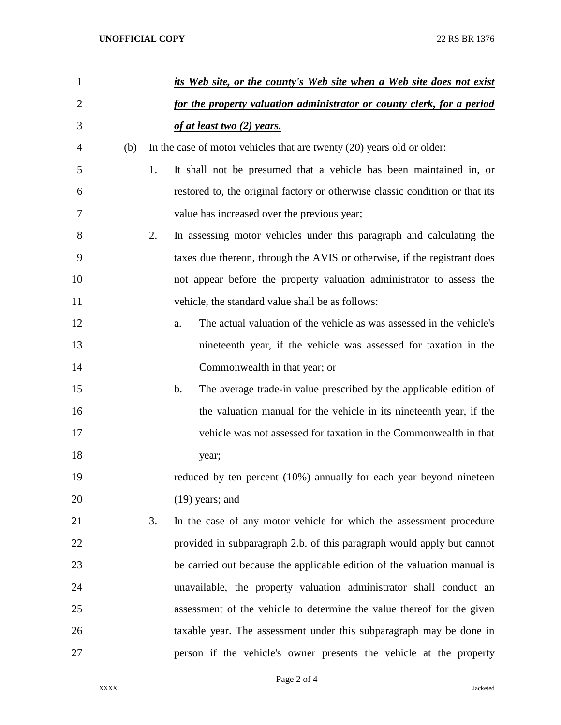| $\mathbf{1}$   |     |    | its Web site, or the county's Web site when a Web site does not exist        |
|----------------|-----|----|------------------------------------------------------------------------------|
| $\overline{2}$ |     |    | for the property valuation administrator or county clerk, for a period       |
| 3              |     |    | of at least two $(2)$ years.                                                 |
| 4              | (b) |    | In the case of motor vehicles that are twenty $(20)$ years old or older:     |
| 5              |     | 1. | It shall not be presumed that a vehicle has been maintained in, or           |
| 6              |     |    | restored to, the original factory or otherwise classic condition or that its |
| 7              |     |    | value has increased over the previous year;                                  |
| 8              |     | 2. | In assessing motor vehicles under this paragraph and calculating the         |
| 9              |     |    | taxes due thereon, through the AVIS or otherwise, if the registrant does     |
| 10             |     |    | not appear before the property valuation administrator to assess the         |
| 11             |     |    | vehicle, the standard value shall be as follows:                             |
| 12             |     |    | The actual valuation of the vehicle as was assessed in the vehicle's<br>a.   |
| 13             |     |    | nineteenth year, if the vehicle was assessed for taxation in the             |
| 14             |     |    | Commonwealth in that year; or                                                |
| 15             |     |    | b.<br>The average trade-in value prescribed by the applicable edition of     |
| 16             |     |    | the valuation manual for the vehicle in its nineteenth year, if the          |
| 17             |     |    | vehicle was not assessed for taxation in the Commonwealth in that            |
| 18             |     |    | year;                                                                        |
| 19             |     |    | reduced by ten percent (10%) annually for each year beyond nineteen          |
| 20             |     |    | $(19)$ years; and                                                            |
| 21             |     | 3. | In the case of any motor vehicle for which the assessment procedure          |
| 22             |     |    | provided in subparagraph 2.b. of this paragraph would apply but cannot       |
| 23             |     |    | be carried out because the applicable edition of the valuation manual is     |
| 24             |     |    | unavailable, the property valuation administrator shall conduct an           |
| 25             |     |    | assessment of the vehicle to determine the value thereof for the given       |
| 26             |     |    | taxable year. The assessment under this subparagraph may be done in          |
| 27             |     |    | person if the vehicle's owner presents the vehicle at the property           |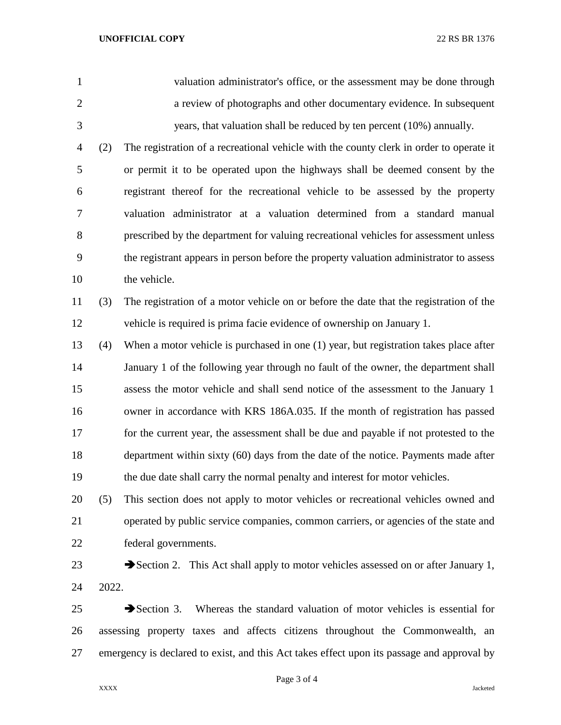valuation administrator's office, or the assessment may be done through a review of photographs and other documentary evidence. In subsequent years, that valuation shall be reduced by ten percent (10%) annually. (2) The registration of a recreational vehicle with the county clerk in order to operate it or permit it to be operated upon the highways shall be deemed consent by the registrant thereof for the recreational vehicle to be assessed by the property valuation administrator at a valuation determined from a standard manual prescribed by the department for valuing recreational vehicles for assessment unless the registrant appears in person before the property valuation administrator to assess 10 the vehicle. (3) The registration of a motor vehicle on or before the date that the registration of the vehicle is required is prima facie evidence of ownership on January 1. (4) When a motor vehicle is purchased in one (1) year, but registration takes place after January 1 of the following year through no fault of the owner, the department shall assess the motor vehicle and shall send notice of the assessment to the January 1 owner in accordance with KRS 186A.035. If the month of registration has passed for the current year, the assessment shall be due and payable if not protested to the department within sixty (60) days from the date of the notice. Payments made after the due date shall carry the normal penalty and interest for motor vehicles. (5) This section does not apply to motor vehicles or recreational vehicles owned and

 operated by public service companies, common carriers, or agencies of the state and federal governments.

23 Section 2. This Act shall apply to motor vehicles assessed on or after January 1, 2022.

  $\rightarrow$  Section 3. Whereas the standard valuation of motor vehicles is essential for assessing property taxes and affects citizens throughout the Commonwealth, an emergency is declared to exist, and this Act takes effect upon its passage and approval by